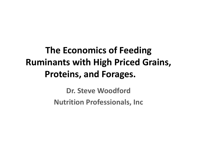## **The Economics of Feeding Ruminants with High Priced Grains, Proteins, and Forages.**

**Dr. Steve WoodfordNutrition Professionals, Inc**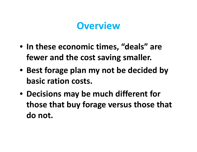### **Overview**

- **In these economic times, "deals" are fewer and the cost saving smaller.**
- **Best forage plan my not be decided by basic ration costs.**
- **Decisions may be much different for those that buy forage versus those that do not.**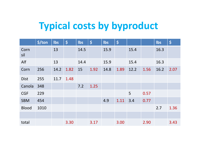# **Typical costs by byproduct**

|              | \$/ton | Ibs  | $\boldsymbol{\zeta}$ | Ibs  | $\left  \boldsymbol{\zeta} \right $ | Ibs  | $\boldsymbol{\zeta}$ |      |      | Ibs  | $\boldsymbol{\zeta}$ |
|--------------|--------|------|----------------------|------|-------------------------------------|------|----------------------|------|------|------|----------------------|
| Corn<br>sil  |        | 13   |                      | 14.5 |                                     | 15.9 |                      | 15.4 |      | 16.3 |                      |
| Alf          |        | 13   |                      | 14.4 |                                     | 15.9 |                      | 15.4 |      | 16.3 |                      |
| Corn         | 256    | 14.2 | 1.82                 | 15   | 1.92                                | 14.8 | 1.89                 | 12.2 | 1.56 | 16.2 | 2.07                 |
| <b>Dist</b>  | 255    | 11.7 | 1.48                 |      |                                     |      |                      |      |      |      |                      |
| Canola       | 348    |      |                      | 7.2  | 1.25                                |      |                      |      |      |      |                      |
| <b>CGF</b>   | 229    |      |                      |      |                                     |      |                      | 5    | 0.57 |      |                      |
| <b>SBM</b>   | 454    |      |                      |      |                                     | 4.9  | 1.11                 | 3.4  | 0.77 |      |                      |
| <b>Blood</b> | 1010   |      |                      |      |                                     |      |                      |      |      | 2.7  | 1.36                 |
|              |        |      |                      |      |                                     |      |                      |      |      |      |                      |
| total        |        |      | 3.30                 |      | 3.17                                |      | 3.00                 |      | 2.90 |      | 3.43                 |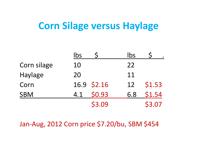### **Corn Silage versus Haylage**

|                | lbs           | lbs |        |
|----------------|---------------|-----|--------|
| Corn silage    | 10            | 22  |        |
| <b>Haylage</b> | 20            | 11  |        |
| Corn           | 16.9 \$2.16   | 12  | \$1.53 |
| <b>SBM</b>     | \$0.93<br>4.1 | 6.8 | \$1.54 |
|                | \$3.09        |     | \$3.07 |

Jan‐Aug, 2012 Corn price \$7.20/bu, SBM \$454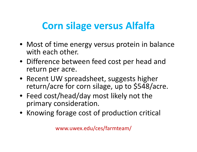# **Corn silage versus Alfalfa**

- Most of time energy versus protein in balance with each other.
- Difference between feed cost per head and return per acre.
- Recent UW spreadsheet, suggests higher return/acre for corn silage, up to \$548/acre.
- Feed cost/head/day most likely not the primary consideration.
- Knowing forage cost of production critical

www.uwex.edu/ces/farmteam/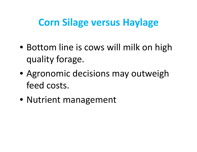## **Corn Silage versus Haylage**

- Bottom line is cows will milk on high quality forage.
- Agronomic decisions may outweigh feed costs.
- Nutrient management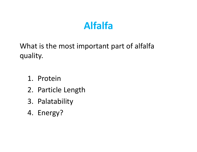## **Alfalfa**

What is the most important part of alfalfa quality.

- 1. Protein
- 2. Particle Length
- 3. Palatability
- 4. Energy?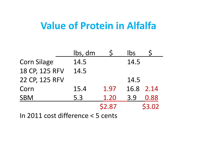### **Value of Protein in Alfalfa**

|                                        | lbs, dm |        | Ibs  |        |  |  |  |  |  |
|----------------------------------------|---------|--------|------|--------|--|--|--|--|--|
| <b>Corn Silage</b>                     | 14.5    |        | 14.5 |        |  |  |  |  |  |
| 18 CP, 125 RFV                         | 14.5    |        |      |        |  |  |  |  |  |
| 22 CP, 125 RFV                         |         |        | 14.5 |        |  |  |  |  |  |
| Corn                                   | 15.4    | 1.97   | 16.8 | 2.14   |  |  |  |  |  |
| <b>SBM</b>                             | 5.3     | 1.20   | 3.9  | 0.88   |  |  |  |  |  |
|                                        |         | \$2.87 |      | \$3.02 |  |  |  |  |  |
| In 2011 cost difference $\geq$ 5 conts |         |        |      |        |  |  |  |  |  |

In 2011 cost difference <sup>&</sup>lt; 5 cents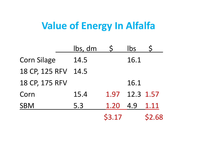### **Value of Energy In Alfalfa**

|                    | Ibs, dm |        | <b>lbs</b> |        |
|--------------------|---------|--------|------------|--------|
| <b>Corn Silage</b> | 14.5    |        | 16.1       |        |
| 18 CP, 125 RFV     | 14.5    |        |            |        |
| 18 CP, 175 RFV     |         |        | 16.1       |        |
| Corn               | 15.4    | 1.97   | 12.3 1.57  |        |
| <b>SBM</b>         | 5.3     | 1.20   | 4.9        | 1.11   |
|                    |         | \$3.17 |            | \$2.68 |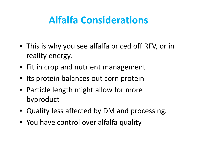# **Alfalfa Considerations**

- This is why you see alfalfa priced off RFV, or in reality energy.
- Fit in crop and nutrient management
- Its protein balances out corn protein
- Particle length might allow for more byproduct
- Quality less affected by DM and processing.
- You have control over alfalfa quality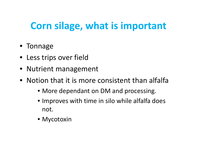# **Corn silage, what is important**

- Tonnage
- Less trips over field
- Nutrient management
- Notion that it is more consistent than alfalfa
	- More dependant on DM and processing.
	- Improves with time in silo while alfalfa does not.
	- Mycotoxin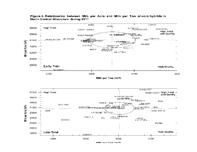



**MILL WAR TAW (INCT)**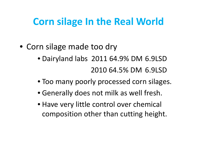## **Corn silage In the Real World**

- Corn silage made too dry
	- Dairyland labs 2011 64.9% DM 6.9LSD 2010 64.5% DM 6.9LSD
	- Too many poorly processed corn silages.
	- Generally does not milk as well fresh.
	- Have very little control over chemical composition other than cutting height.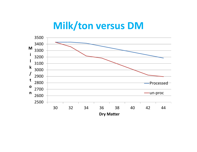#### **Milk/ton versus DM**

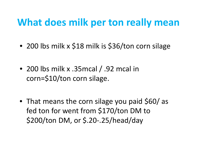### **What does milk per ton really mean**

- 200 lbs milk <sup>x</sup> \$18 milk is \$36/ton corn silage
- 200 lbs milk <sup>x</sup> .35mcal / .92 mcal in corn=\$10/ton corn silage.
- That means the corn silage you paid \$60/ as fed ton for went from \$170/ton DM to \$200/ton DM, or \$.20‐.25/head/day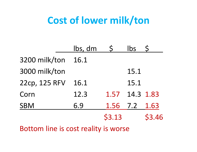## **Cost of lower milk/ton**

|               | lbs, dm |               | <b>lbs</b> |               |
|---------------|---------|---------------|------------|---------------|
| 3200 milk/ton | 16.1    |               |            |               |
| 3000 milk/ton |         |               | 15.1       |               |
| 22cp, 125 RFV | 16.1    |               | 15.1       |               |
| Corn          | 12.3    | 1.57          | 14.3 1.83  |               |
| <b>SBM</b>    | 6.9     | 1.56 7.2 1.63 |            |               |
|               |         | \$3.13        |            | <b>\$3.46</b> |

Bottom line is cost reality is worse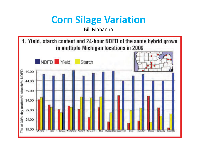## **Corn Silage Variation**

Bill Mahanna

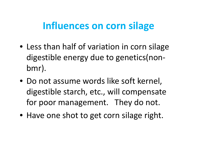### **Influences on corn silage**

- Less than half of variation in corn silage digestible energy due to genetics(non‐ bmr).
- Do not assume words like soft kernel, digestible starch, etc., will compensate for poor management. They do not.
- Have one shot to get corn silage right.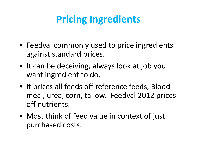# **Pricing Ingredients**

- Feedval commonly used to price ingredients against standard prices.
- It can be deceiving, always look at job you want ingredient to do.
- It prices all feeds off reference feeds, Blood meal, urea, corn, tallow. Feedval 2012 prices off nutrients.
- Most think of feed value in context of just purchased costs.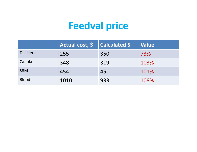# **Feedval price**

|                   | Actual cost, $\boldsymbol{\mathsf{S}}$ | <b>Calculated \$</b> | <b>Value</b> |
|-------------------|----------------------------------------|----------------------|--------------|
| <b>Distillers</b> | 255                                    | 350                  | 73%          |
| Canola            | 348                                    | 319                  | 103%         |
| <b>SBM</b>        | 454                                    | 451                  | 101%         |
| <b>Blood</b>      | 1010                                   | 933                  | 108%         |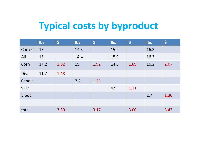# **Typical costs by byproduct**

|              | <b>Ibs</b> | $\overline{\boldsymbol{\zeta}}$ | Ibs  | $\left  \boldsymbol{\zeta} \right $ | Ibs  | $\overline{\boldsymbol{\varsigma}}$ | <b>Ibs</b> | $\varsigma$ |
|--------------|------------|---------------------------------|------|-------------------------------------|------|-------------------------------------|------------|-------------|
| Corn sil     | 13         |                                 | 14.5 |                                     | 15.9 |                                     | 16.3       |             |
| Alf          | 13         |                                 | 14.4 |                                     | 15.9 |                                     | 16.3       |             |
| Corn         | 14.2       | 1.82                            | 15   | 1.92                                | 14.8 | 1.89                                | 16.2       | 2.07        |
| <b>Dist</b>  | 11.7       | 1.48                            |      |                                     |      |                                     |            |             |
| Canola       |            |                                 | 7.2  | 1.25                                |      |                                     |            |             |
| <b>SBM</b>   |            |                                 |      |                                     | 4.9  | 1.11                                |            |             |
| <b>Blood</b> |            |                                 |      |                                     |      |                                     | 2.7        | 1.36        |
|              |            |                                 |      |                                     |      |                                     |            |             |
| total        |            | 3.30                            |      | 3.17                                |      | 3.00                                |            | 3.43        |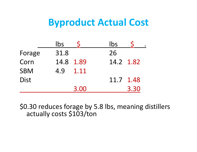#### **Byproduct Actual Cost**

|             | Ibs  |           | lbs       |      |
|-------------|------|-----------|-----------|------|
| Forage      | 31.8 |           | 26        |      |
| Corn        |      | 14.8 1.89 | 14.2 1.82 |      |
| <b>SBM</b>  | 4.9  | 1.11      |           |      |
| <b>Dist</b> |      |           | 11.7 1.48 |      |
|             |      | 3.00      |           | 3.30 |

\$0.30 reduces forage by 5.8 lbs, meaning distillers actually costs \$103/ton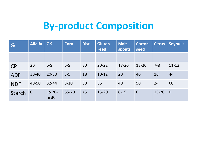## **By‐product Composition**

| $\frac{9}{6}$ | <b>Alfalfa</b> | <b>C.S.</b>     | <b>Corn</b> | <b>Dist</b> | <b>Gluten</b><br><b>Feed</b> | <b>Malt</b><br>spouts | <b>Cotton</b><br>seed | <b>Citrus</b> | <b>Soyhulls</b> |
|---------------|----------------|-----------------|-------------|-------------|------------------------------|-----------------------|-----------------------|---------------|-----------------|
|               |                |                 |             |             |                              |                       |                       |               |                 |
| <b>CP</b>     | 20             | $6 - 9$         | $6 - 9$     | 30          | $20 - 22$                    | 18-20                 | 18-20                 | $7 - 8$       | $11 - 13$       |
| <b>ADF</b>    | $30 - 40$      | $20 - 30$       | $3 - 5$     | 18          | $10 - 12$                    | 20                    | 40                    | 16            | 44              |
| <b>NDF</b>    | 40-50          | $32 - 44$       | $8 - 10$    | 30          | 36                           | 40                    | 50                    | 24            | 60              |
| Starch        | $\overline{0}$ | Lo 20-<br>hi 30 | 65-70       | < 5         | $15 - 20$                    | $6 - 15$              | $\overline{0}$        | $15 - 20$     | $\overline{0}$  |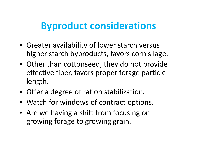### **Byproduct considerations**

- Greater availability of lower starch versus higher starch byproducts, favors corn silage.
- Other than cottonseed, they do not provide effective fiber, favors proper forage particle length.
- Offer <sup>a</sup> degree of ration stabilization.
- Watch for windows of contract options.
- Are we having <sup>a</sup> shift from focusing on growing forage to growing grain.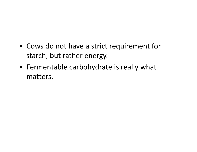- Cows do not have <sup>a</sup> strict requirement for starch, but rather energy.
- Fermentable carbohydrate is really what matters.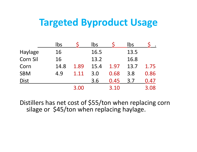#### **Targeted Byproduct Usage**

|                 | lbs  |      | lbs  |      | bs   |      |
|-----------------|------|------|------|------|------|------|
| Haylage         | 16   |      | 16.5 |      | 13.5 |      |
| <b>Corn Sil</b> | 16   |      | 13.2 |      | 16.8 |      |
| Corn            | 14.8 | 1.89 | 15.4 | 1.97 | 13.7 | 1.75 |
| <b>SBM</b>      | 4.9  | 1.11 | 3.0  | 0.68 | 3.8  | 0.86 |
| <b>Dist</b>     |      |      | 3.6  | 0.45 | 3.7  | 0.47 |
|                 |      | 3.00 |      | 3.10 |      | 3.08 |

Distillers has net cost of \$55/ton when replacing corn silage or \$45/ton when replacing haylage.